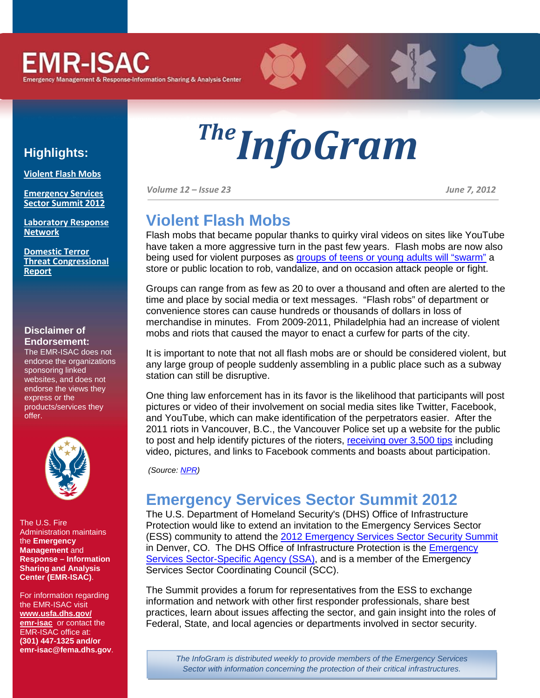# **EMR-ISAC**

Emergency Management & Response-Information Sharing & Analysis Center

#### **Highlights:**

**[Violent Flash Mobs](#page-0-0)**

**[Emergency Services](#page-0-1)  [Sector Summit 2012](#page-0-1)**

**[Laboratory Response](#page-1-0)  [Network](#page-1-0)**

**[Domestic Terror](#page-1-1)  [Threat Congressional](#page-1-1)  [Report](#page-1-1)**

#### **Disclaimer of Endorsement:**

The EMR-ISAC does not endorse the organizations sponsoring linked websites, and does not endorse the views they express or the products/services they offer.



The U.S. Fire Administration maintains the **Emergency Management** and **Response – Information Sharing and Analysis Center (EMR-ISAC)**.

For information regarding the EMR-ISAC visit **[www.usfa.dhs.gov/](http://www.usfa.dhs.gov/emr-isac) [emr-isac](http://www.usfa.dhs.gov/emr-isac)** or contact the EMR-ISAC office at: **(301) 447-1325 and/or emr-isac@fema.dhs.gov**.

# *InfoGram The*

<span id="page-0-0"></span>*Volume 12 – Issue 23 June 7, 2012*

### **Violent Flash Mobs**

Flash mobs that became popular thanks to quirky viral videos on sites like YouTube have taken a more aggressive turn in the past few years. Flash mobs are now also being used for violent purposes as [groups of teens or young adults](http://www.foxnews.com/us/2011/06/18/top-five-most-brazen-flash-mob-robberies/) will "swarm" a store or public location to rob, vandalize, and on occasion attack people or fight.

Groups can range from as few as 20 to over a thousand and often are alerted to the time and place by social media or text messages. "Flash robs" of department or convenience stores can cause hundreds or thousands of dollars in loss of merchandise in minutes. From 2009-2011, Philadelphia had an increase of violent mobs and riots that caused the mayor to enact a curfew for parts of the city.

It is important to note that not all flash mobs are or should be considered violent, but any large group of people suddenly assembling in a public place such as a subway station can still be disruptive.

One thing law enforcement has in its favor is the likelihood that participants will post pictures or video of their involvement on social media sites like Twitter, Facebook, and YouTube, which can make identification of the perpetrators easier. After the 2011 riots in Vancouver, B.C., the Vancouver Police set up a website for the public to post and help identify pictures of the rioters, [receiving over 3,500 tips](http://www.cbc.ca/news/canada/british-columbia/story/2011/06/20/bc-vancouver-police-riot.html?) including video, pictures, and links to Facebook comments and boasts about participation.

*(Source[: NPR\)](http://www.npr.org/2011/05/26/136578945/flash-mobs-arent-just-for-fun-anymore)*

### <span id="page-0-1"></span>**Emergency Services Sector Summit 2012**

The U.S. Department of Homeland Security's (DHS) Office of Infrastructure Protection would like to extend an invitation to the Emergency Services Sector (ESS) community to attend the [2012 Emergency Services Sector Security Summit](http://emergencyservicessectorsummit.eventbrite.com/) in Denver, CO. The DHS Office of Infrastructure Protection is the [Emergency](http://www.dhs.gov/xabout/structure/gc_1189775491423.shtm)  [Services Sector-Specific Agency \(SSA\),](http://www.dhs.gov/xabout/structure/gc_1189775491423.shtm) and is a member of the Emergency Services Sector Coordinating Council (SCC).

The Summit provides a forum for representatives from the ESS to exchange information and network with other first responder professionals, share best practices, learn about issues affecting the sector, and gain insight into the roles of Federal, State, and local agencies or departments involved in sector security.

*The InfoGram is distributed weekly to provide members of the Emergency Services Sector with information concerning the protection of their critical infrastructures.*